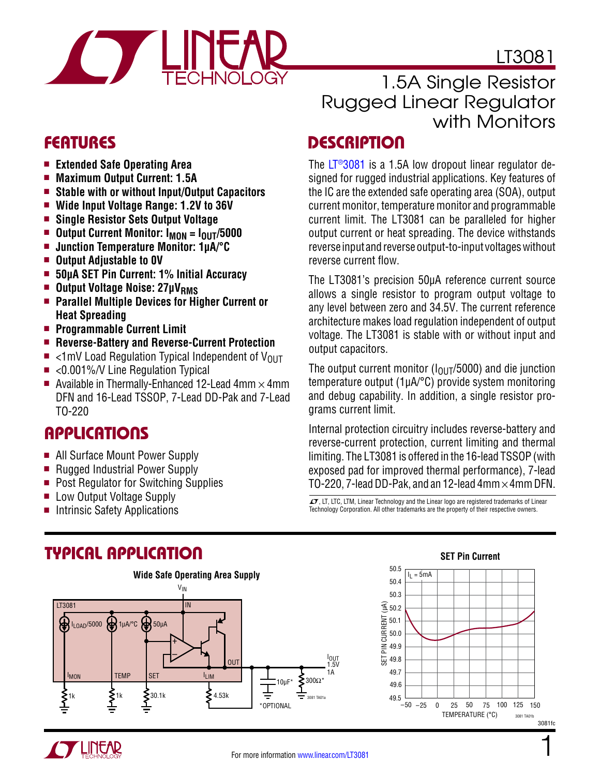LT3081



## 1.5A Single Resistor Rugged Linear Regulator with Monitors

### FEATURES DESCRIPTION

The  $LT^{\circ}3081$  is a 1.5A low dropout linear regulator designed for rugged industrial applications. Key features of the IC are the extended safe operating area (SOA), output current monitor, temperature monitor and programmable current limit. The LT3081 can be paralleled for higher output current or heat spreading. The device withstands reverse input and reverse output-to-input voltages without reverse current flow.

The LT3081's precision 50µA reference current source allows a single resistor to program output voltage to any level between zero and 34.5V. The current reference architecture makes load regulation independent of output voltage. The LT3081 is stable with or without input and output capacitors.

The output current monitor ( $I_{\Omega1}T/5000$ ) and die junction temperature output (1µA/°C) provide system monitoring and debug capability. In addition, a single resistor programs current limit.

Internal protection circuitry includes reverse-battery and reverse-current protection, current limiting and thermal limiting. The LT3081 is offered in the 16-lead TSSOP (with exposed pad for improved thermal performance), 7-lead TO-220, 7-lead DD-Pak, and an 12-lead  $4mm \times 4mm$  DFN.

 $I$ , LT, LTC, LTM, Linear Technology and the Linear logo are registered trademarks of Linear Technology Corporation. All other trademarks are the property of their respective owners.

- **Extended Safe Operating Area**
- **n** Maximum Output Current: 1.5A
- Stable with or without Input/Output Capacitors
- $\blacksquare$  Wide Input Voltage Range: 1.2V to 36V
- <sup>n</sup> **Single Resistor Sets Output Voltage**
- **n** Output Current Monitor: I<sub>MON</sub> = I<sub>OUT</sub>/5000
- Junction Temperature Monitor: 1µA/<sup>o</sup>C
- **n** Output Adjustable to 0V
- 50µA SET Pin Current: 1% Initial Accuracy
- Output Voltage Noise: 27µV<sub>RMS</sub>
- **EXECUTE: Parallel Multiple Devices for Higher Current or Heat Spreading**
- **n** Programmable Current Limit
- **E** Reverse-Battery and Reverse-Current Protection
- $\blacksquare$  <1mV Load Regulation Typical Independent of V<sub>OUT</sub>
- $\blacksquare$  <0.001%/V Line Regulation Typical
- Available in Thermally-Enhanced 12-Lead 4mm  $\times$  4mm DFN and 16-Lead TSSOP, 7-Lead DD-Pak and 7-Lead TO-220

# Applications

- All Surface Mount Power Supply
- Rugged Industrial Power Supply
- Post Regulator for Switching Supplies
- **E** Low Output Voltage Supply
- Intrinsic Safety Applications

## Typical Application



#### **SET Pin Current**



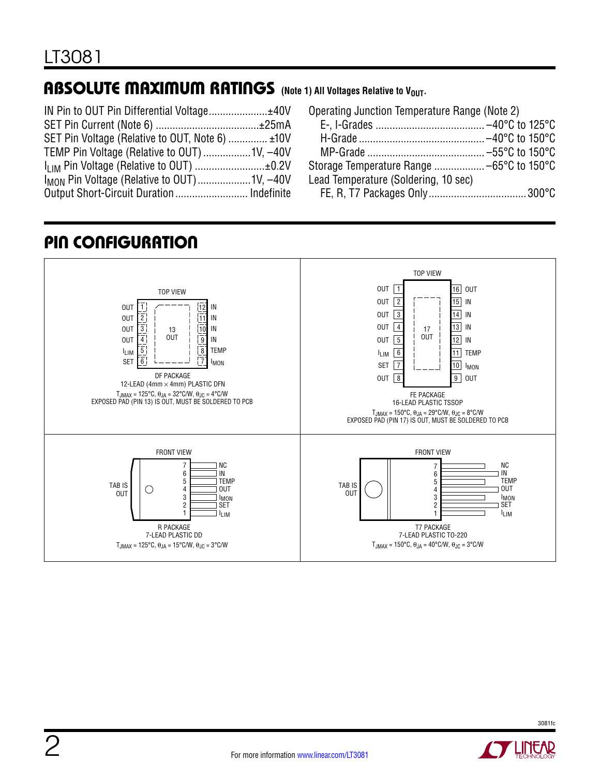### ABSOLUTE MAXIMUM RATINGS (Note 1) All Voltages Relative to V<sub>OUT</sub>.

| SET Pin Voltage (Relative to OUT, Note 6)  ±10V         |  |
|---------------------------------------------------------|--|
| TEMP Pin Voltage (Relative to OUT) 1V, -40V             |  |
|                                                         |  |
| I <sub>MON</sub> Pin Voltage (Relative to OUT) 1V, -40V |  |
|                                                         |  |

| Operating Junction Temperature Range (Note 2) |  |
|-----------------------------------------------|--|
|                                               |  |
|                                               |  |
|                                               |  |
|                                               |  |
| Lead Temperature (Soldering, 10 sec)          |  |
|                                               |  |

# Pin Configuration



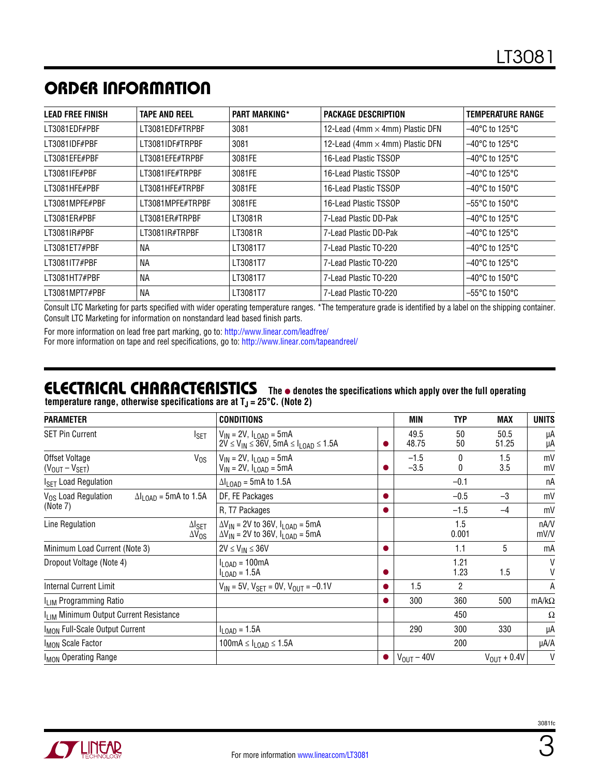## ORDER INFORMATION

| LEAD FREE FINISH | <b>TAPE AND REEL</b> | <b>PART MARKING*</b> | <b>PACKAGE DESCRIPTION</b>             | <b>TEMPERATURE RANGE</b>            |
|------------------|----------------------|----------------------|----------------------------------------|-------------------------------------|
| LT3081EDF#PBF    | LT3081EDF#TRPBF      | 3081                 | 12-Lead (4mm $\times$ 4mm) Plastic DFN | $-40^{\circ}$ C to 125 $^{\circ}$ C |
| LT3081IDF#PBF    | LT3081IDF#TRPBF      | 3081                 | 12-Lead (4mm × 4mm) Plastic DFN        | $-40^{\circ}$ C to 125 $^{\circ}$ C |
| LT3081EFE#PBF    | LT3081EFE#TRPBF      | 3081FE               | 16-Lead Plastic TSSOP                  | $-40^{\circ}$ C to 125 $^{\circ}$ C |
| LT3081IFE#PBF    | LT3081IFE#TRPBF      | 3081FE               | 16-Lead Plastic TSSOP                  | $-40^{\circ}$ C to 125 $^{\circ}$ C |
| LT3081HFE#PBF    | LT3081HFE#TRPBF      | 3081FE               | 16-Lead Plastic TSSOP                  | $-40^{\circ}$ C to 150 $^{\circ}$ C |
| LT3081MPFE#PBF   | LT3081MPFE#TRPBF     | 3081FE               | 16-Lead Plastic TSSOP                  | $-55^{\circ}$ C to 150 $^{\circ}$ C |
| LT3081ER#PBF     | LT3081ER#TRPBF       | LT3081R              | 7-Lead Plastic DD-Pak                  | $-40^{\circ}$ C to 125 $^{\circ}$ C |
| LT3081IR#PBF     | LT3081IR#TRPBF       | LT3081R              | 7-Lead Plastic DD-Pak                  | $-40^{\circ}$ C to 125 $^{\circ}$ C |
| LT3081ET7#PBF    | NА                   | LT3081T7             | 7-Lead Plastic TO-220                  | $-40^{\circ}$ C to 125 $^{\circ}$ C |
| LT3081IT7#PBF    | ΝA                   | LT3081T7             | 7-Lead Plastic TO-220                  | $-40^{\circ}$ C to 125 $^{\circ}$ C |
| LT3081HT7#PBF    | ΝA                   | LT3081T7             | 7-Lead Plastic TO-220                  | $-40^{\circ}$ C to 150 $^{\circ}$ C |
| LT3081MPT7#PBF   | ΝA                   | LT3081T7             | 7-Lead Plastic TO-220                  | $-55^{\circ}$ C to 150 $^{\circ}$ C |

Consult LTC Marketing for parts specified with wider operating temperature ranges. \*The temperature grade is identified by a label on the shipping container. Consult LTC Marketing for information on nonstandard lead based finish parts.

For more information on lead free part marking, go to: http://www.linear.com/leadfree/

For more information on tape and reel specifications, go to: http://www.linear.com/tapeandreel/

#### **The**  $\bullet$  **denotes the specifications which apply over the full operating temperature range, otherwise specifications are at TJ = 25°C. (Note 2)** Electrical Characteristics

| <b>PARAMETER</b>                                   |                                         | <b>CONDITIONS</b>                                                                              | MIN                    | <b>TYP</b>     | MAX              | <b>UNITS</b> |
|----------------------------------------------------|-----------------------------------------|------------------------------------------------------------------------------------------------|------------------------|----------------|------------------|--------------|
| <b>SET Pin Current</b>                             | I <sub>SET</sub>                        | $V_{IN}$ = 2V, $I_{I OAD}$ = 5mA<br>$2V \le V_{IN} \le 36V$ , 5mA $\le I_{LOAD} \le 1.5A$      | 49.5<br>48.75          | 50<br>50       | 50.5<br>51.25    | μA<br>μA     |
| Offset Voltage<br>$(V_{OUT} - V_{SET})$            | $V_{OS}$                                | $V_{IN} = 2V$ , $I_{LOAD} = 5mA$<br>$V_{IN}$ = 2V, $I_{LOAD}$ = 5mA                            | $-1.5$<br>$-3.5$       | 0<br>0         | 1.5<br>3.5       | mV<br>mV     |
| I <sub>SET</sub> Load Regulation                   |                                         | $\Delta I_{\text{LOAD}} = 5 \text{mA}$ to 1.5A                                                 |                        | $-0.1$         |                  | пA           |
| V <sub>OS</sub> Load Regulation                    | $\Delta I_{LDAD}$ = 5mA to 1.5A         | DF, FE Packages                                                                                |                        | $-0.5$         | $-3$             | mV           |
| (Note 7)                                           |                                         | R, T7 Packages                                                                                 |                        | $-1.5$         | $-4$             | mV           |
| Line Regulation                                    | $\Delta I_{\sf SET}$<br>$\Delta V_{OS}$ | $\Delta V_{IN}$ = 2V to 36V, $I_{LOAD}$ = 5mA<br>$\Delta V_{IN}$ = 2V to 36V, $I_{LOAD}$ = 5mA |                        | 1.5<br>0.001   |                  | nA/V<br>mV/V |
| Minimum Load Current (Note 3)                      |                                         | $2V \le V_{IN} \le 36V$                                                                        |                        | 1.1            | 5                | mA           |
| Dropout Voltage (Note 4)                           |                                         | $I_{LOAD} = 100mA$<br>$I_{\text{LOAD}} = 1.5A$                                                 |                        | 1.21<br>1.23   | 1.5              | V<br>V       |
| <b>Internal Current Limit</b>                      |                                         | $V_{IN}$ = 5V, $V_{SET}$ = 0V, $V_{OUT}$ = -0.1V                                               | 1.5                    | $\overline{2}$ |                  | Α            |
| I <sub>LIM</sub> Programming Ratio                 |                                         |                                                                                                | 300                    | 360            | 500              | $mA/k\Omega$ |
| I <sub>LIM</sub> Minimum Output Current Resistance |                                         |                                                                                                |                        | 450            |                  | Ω            |
| I <sub>MON</sub> Full-Scale Output Current         |                                         | $I_{\text{LOAD}} = 1.5A$                                                                       | 290                    | 300            | 330              | μA           |
| I <sub>MON</sub> Scale Factor                      |                                         | 100mA $\leq$ $I_{\text{LOAD}}$ $\leq$ 1.5A                                                     |                        | 200            |                  | µA/A         |
| I <sub>MON</sub> Operating Range                   |                                         |                                                                                                | $V_{\text{OUT}} - 40V$ |                | $V_{OUT} + 0.4V$ | $\vee$       |

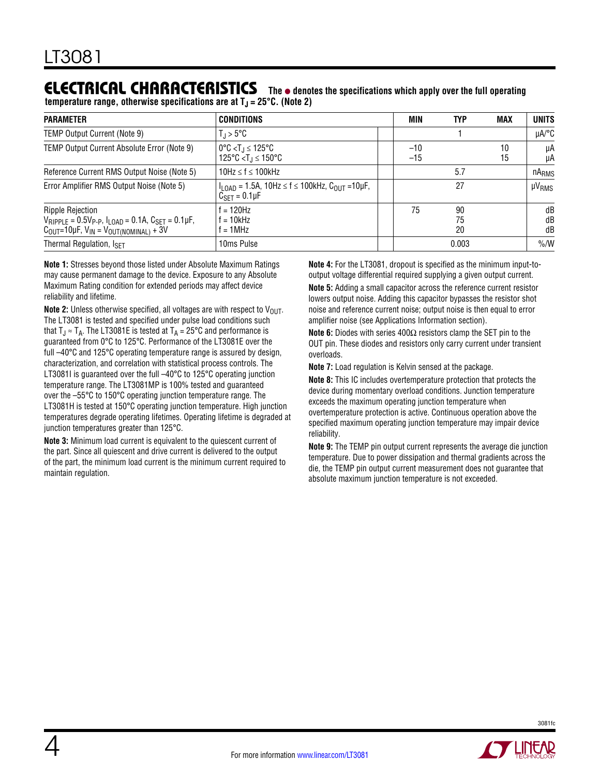### **ELECTRICAL CHARACTERISTICS** The  $\bullet$  denotes the specifications which apply over the full operating

**temperature range, otherwise specifications are at**  $T<sub>J</sub> = 25°C$ **. (Note 2)** 

| <b>PARAMETER</b>                                                                                                                                                              | <b>CONDITIONS</b>                                                                                                    | MIN            | <b>TYP</b>     | <b>MAX</b> | <b>UNITS</b>      |
|-------------------------------------------------------------------------------------------------------------------------------------------------------------------------------|----------------------------------------------------------------------------------------------------------------------|----------------|----------------|------------|-------------------|
| TEMP Output Current (Note 9)                                                                                                                                                  | $T_{\rm d}$ > 5°C                                                                                                    |                |                |            | $\mu$ A/°C        |
| TEMP Output Current Absolute Error (Note 9)                                                                                                                                   | $0^{\circ}$ C < T <sub>.I</sub> $\leq 125^{\circ}$ C<br>125°C <t<math>_1 ≤ 150°C</t<math>                            | $-10$<br>$-15$ |                | 10<br>15   | μA<br>μA          |
| Reference Current RMS Output Noise (Note 5)                                                                                                                                   | 10Hz $\leq$ f $\leq$ 100kHz                                                                                          |                | 5.7            |            | nA <sub>RMS</sub> |
| Error Amplifier RMS Output Noise (Note 5)                                                                                                                                     | $I_{\text{LOAD}} = 1.5A$ , 10Hz $\leq f \leq 100$ kHz, $C_{\text{OUT}} = 10 \mu F$ ,<br>$C_{\text{SFT}} = 0.1 \mu F$ |                | 27             |            | $\mu V_{RMS}$     |
| <b>Ripple Rejection</b><br>$V_{RIPPLE} = 0.5V_{P-P}$ , $I_{LOAD} = 0.1A$ , $C_{SET} = 0.1\mu F$ ,<br>$C_{\text{OUT}}$ =10µF, $V_{\text{IN}}$ = $V_{\text{OUT(NOMINAL)}}$ + 3V | $f = 120$ Hz<br>f = 10kHz<br>$f = 1$ MHz                                                                             | 75             | 90<br>75<br>20 |            | dB<br>dB<br>dB    |
| Thermal Regulation, ISFT                                                                                                                                                      | 10ms Pulse                                                                                                           |                | 0.003          |            | $\%$ /W           |

**Note 1:** Stresses beyond those listed under Absolute Maximum Ratings may cause permanent damage to the device. Exposure to any Absolute Maximum Rating condition for extended periods may affect device reliability and lifetime.

**Note 2:** Unless otherwise specified, all voltages are with respect to V<sub>OUT</sub>. The LT3081 is tested and specified under pulse load conditions such that  $T_J \approx T_A$ . The LT3081E is tested at  $T_A = 25^{\circ}$ C and performance is guaranteed from 0°C to 125°C. Performance of the LT3081E over the full –40°C and 125°C operating temperature range is assured by design, characterization, and correlation with statistical process controls. The LT3081I is guaranteed over the full –40°C to 125°C operating junction temperature range. The LT3081MP is 100% tested and guaranteed over the –55°C to 150°C operating junction temperature range. The LT3081H is tested at 150°C operating junction temperature. High junction temperatures degrade operating lifetimes. Operating lifetime is degraded at junction temperatures greater than 125°C.

**Note 3:** Minimum load current is equivalent to the quiescent current of the part. Since all quiescent and drive current is delivered to the output of the part, the minimum load current is the minimum current required to maintain regulation.

**Note 4:** For the LT3081, dropout is specified as the minimum input-tooutput voltage differential required supplying a given output current.

**Note 5:** Adding a small capacitor across the reference current resistor lowers output noise. Adding this capacitor bypasses the resistor shot noise and reference current noise; output noise is then equal to error amplifier noise (see Applications Information section).

**Note 6:** Diodes with series 400Ω resistors clamp the SET pin to the OUT pin. These diodes and resistors only carry current under transient overloads.

**Note 7:** Load regulation is Kelvin sensed at the package.

**Note 8:** This IC includes overtemperature protection that protects the device during momentary overload conditions. Junction temperature exceeds the maximum operating junction temperature when overtemperature protection is active. Continuous operation above the specified maximum operating junction temperature may impair device reliability.

**Note 9:** The TEMP pin output current represents the average die junction temperature. Due to power dissipation and thermal gradients across the die, the TEMP pin output current measurement does not guarantee that absolute maximum junction temperature is not exceeded.

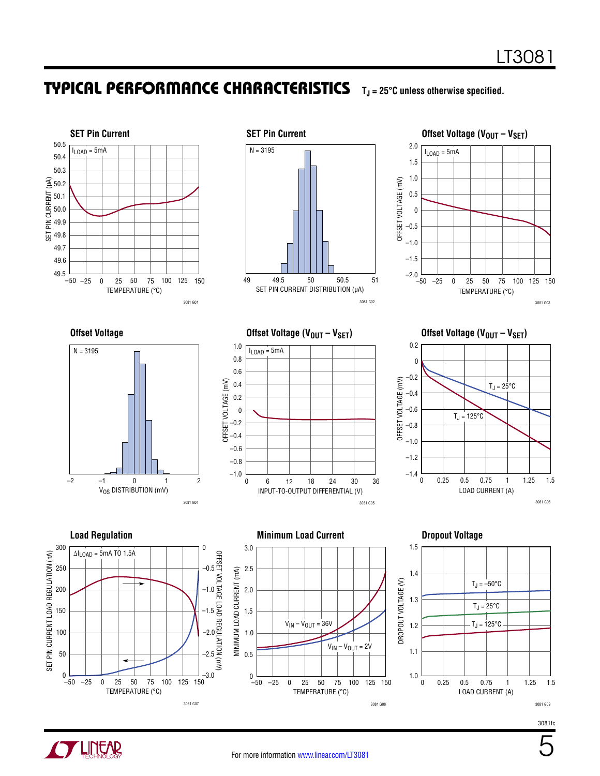

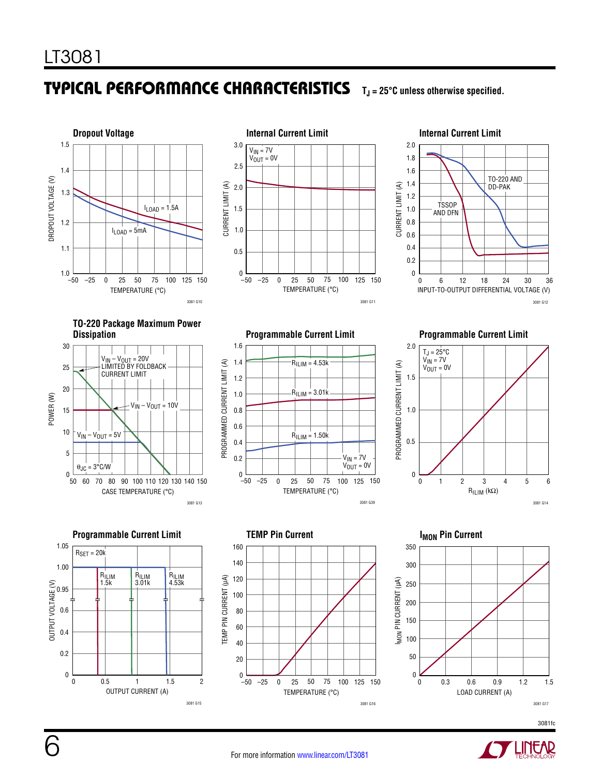





**TO-220 Package Maximum Power** 















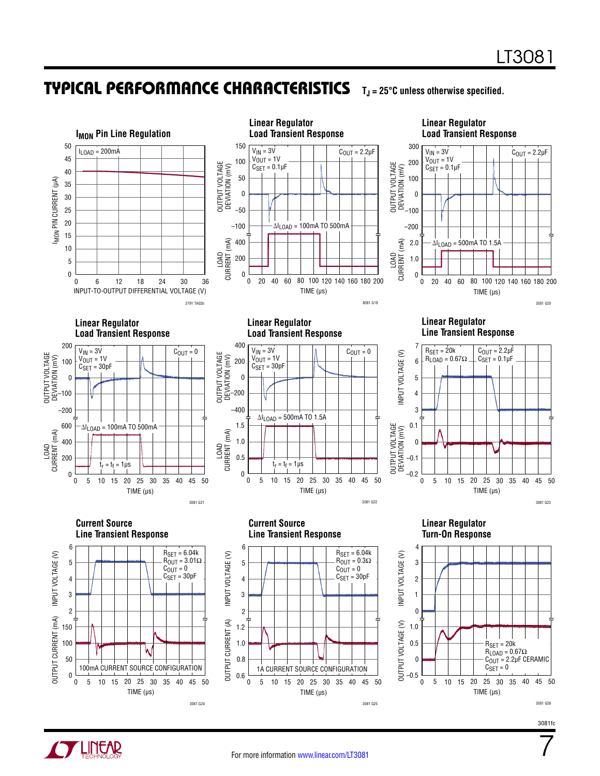



3081fc

7



0

0

50

150 100

TIME (µs)

100mA CURRENT SOURCE CONFIGURATION

5 10 15 20 25 30 35 40 45 50

40 45

3081 G24

0

0.6

0.8

**DUTPUT CURRENT (A)** 

1.2 1.0

TIME  $(\mu s)$ 

1A CURRENT SOURCE CONFIGURATION

5 10 15 20 25 30 35 40 45 50

40 45

3081 G25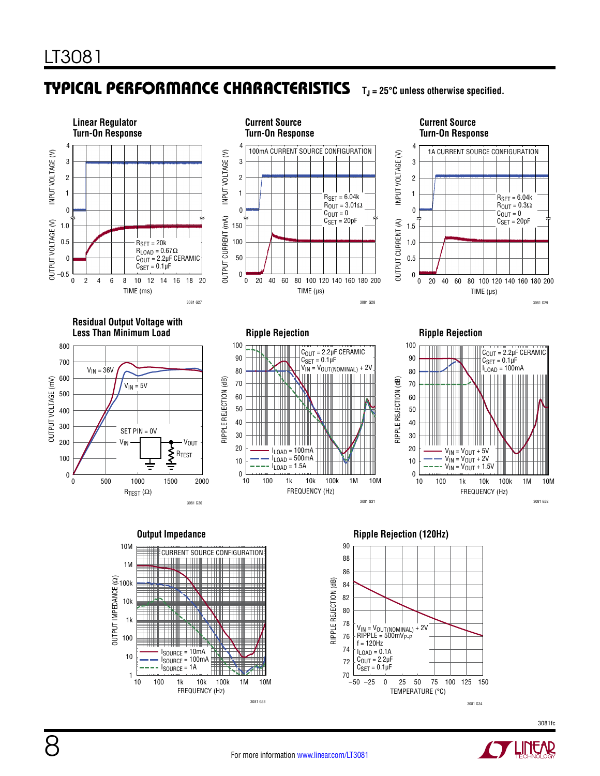





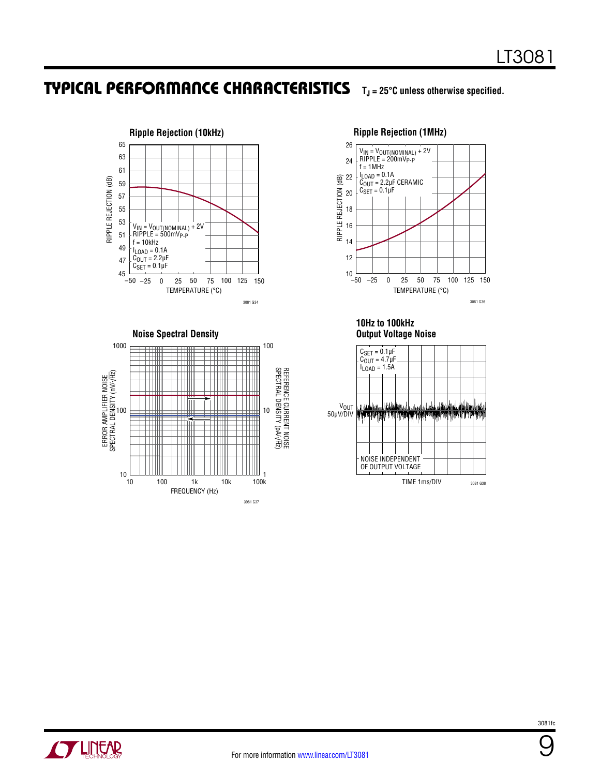







**10Hz to 100kHz Output Voltage Noise**





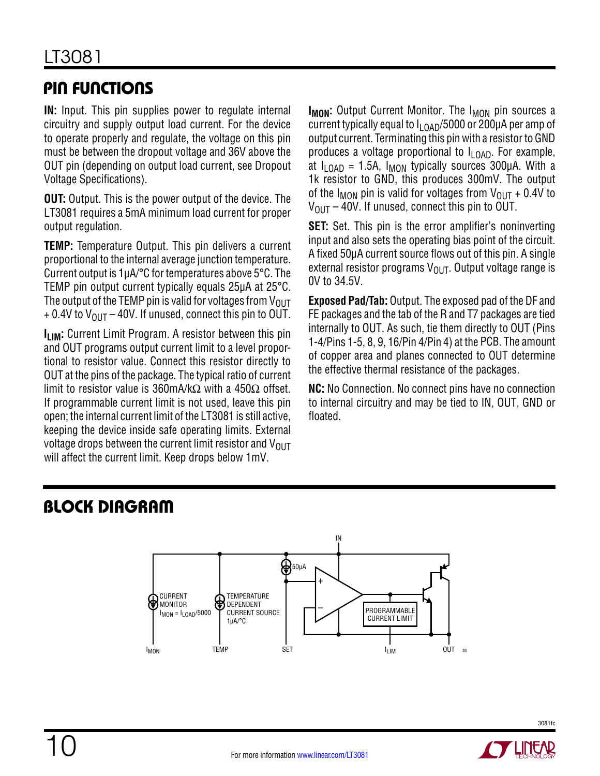### Pin Functions

**IN:** Input. This pin supplies power to regulate internal circuitry and supply output load current. For the device to operate properly and regulate, the voltage on this pin must be between the dropout voltage and 36V above the OUT pin (depending on output load current, see Dropout Voltage Specifications).

**OUT:** Output. This is the power output of the device. The LT3081 requires a 5mA minimum load current for proper output regulation.

**TEMP:** Temperature Output. This pin delivers a current proportional to the internal average junction temperature. Current output is 1µA/°C for temperatures above 5°C. The TEMP pin output current typically equals 25µA at 25°C. The output of the TEMP pin is valid for voltages from  $V_{OUT}$  $+$  0.4V to  $V_{OIII}$  – 40V. If unused, connect this pin to OUT.

**ILIM:** Current Limit Program. A resistor between this pin and OUT programs output current limit to a level proportional to resistor value. Connect this resistor directly to OUT at the pins of the package. The typical ratio of current limit to resistor value is 360mA/kΩ with a 450Ω offset. If programmable current limit is not used, leave this pin open; the internal current limit of the LT3081 is still active, keeping the device inside safe operating limits. External voltage drops between the current limit resistor and  $V_{OUT}$ will affect the current limit. Keep drops below 1mV.

**I<sub>MON</sub>:** Output Current Monitor. The I<sub>MON</sub> pin sources a current typically equal to  $I_{LDAD}/5000$  or 200µA per amp of output current. Terminating this pin with a resistor to GND produces a voltage proportional to  $I_{LOAD}$ . For example, at  $I_{\text{I OAD}}$  = 1.5A,  $I_{\text{MON}}$  typically sources 300µA. With a 1k resistor to GND, this produces 300mV. The output of the I<sub>MON</sub> pin is valid for voltages from  $V_{\text{OUT}} + 0.4V$  to  $V_{OIII}$  – 40V. If unused, connect this pin to OUT.

**SET:** Set. This pin is the error amplifier's noninverting input and also sets the operating bias point of the circuit. A fixed 50μA current source flows out of this pin. A single external resistor programs  $V_{\text{OUT}}$ . Output voltage range is 0V to 34.5V.

**Exposed Pad/Tab:** Output. The exposed pad of the DF and FE packages and the tab of the R and T7 packages are tied internally to OUT. As such, tie them directly to OUT (Pins 1-4/Pins 1-5, 8, 9, 16/Pin 4/Pin 4) at the PCB. The amount of copper area and planes connected to OUT determine the effective thermal resistance of the packages.

**NC:** No Connection. No connect pins have no connection to internal circuitry and may be tied to IN, OUT, GND or floated.

## Block Diagram



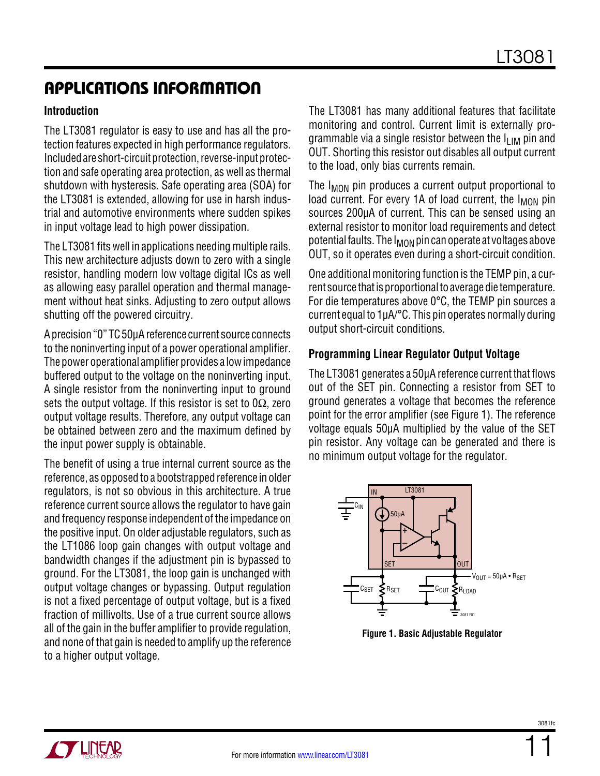#### **Introduction**

The LT3081 regulator is easy to use and has all the protection features expected in high performance regulators. Included are short-circuit protection, reverse-input protection and safe operating area protection, as well as thermal shutdown with hysteresis. Safe operating area (SOA) for the LT3081 is extended, allowing for use in harsh industrial and automotive environments where sudden spikes in input voltage lead to high power dissipation.

The LT3081 fits well in applications needing multiple rails. This new architecture adjusts down to zero with a single resistor, handling modern low voltage digital ICs as well as allowing easy parallel operation and thermal management without heat sinks. Adjusting to zero output allows shutting off the powered circuitry.

A precision "0" TC 50μA reference current source connects to the noninverting input of a power operational amplifier. The power operational amplifier provides a low impedance buffered output to the voltage on the noninverting input. A single resistor from the noninverting input to ground sets the output voltage. If this resistor is set to  $0\Omega$ , zero output voltage results. Therefore, any output voltage can be obtained between zero and the maximum defined by the input power supply is obtainable.

The benefit of using a true internal current source as the reference, as opposed to a bootstrapped reference in older regulators, is not so obvious in this architecture. A true reference current source allows the regulator to have gain and frequency response independent of the impedance on the positive input. On older adjustable regulators, such as the LT1086 loop gain changes with output voltage and bandwidth changes if the adjustment pin is bypassed to ground. For the LT3081, the loop gain is unchanged with output voltage changes or bypassing. Output regulation is not a fixed percentage of output voltage, but is a fixed fraction of millivolts. Use of a true current source allows all of the gain in the buffer amplifier to provide regulation, and none of that gain is needed to amplify up the reference to a higher output voltage.

The LT3081 has many additional features that facilitate monitoring and control. Current limit is externally programmable via a single resistor between the  $I_{\text{LIM}}$  pin and OUT. Shorting this resistor out disables all output current to the load, only bias currents remain.

The  $I_{MON}$  pin produces a current output proportional to load current. For every 1A of load current, the  $I_{MON}$  pin sources 200µA of current. This can be sensed using an external resistor to monitor load requirements and detect potential faults. The  $I_{MON}$  pin can operate at voltages above OUT, so it operates even during a short-circuit condition.

One additional monitoring function is the TEMP pin, a current source that is proportional to average die temperature. For die temperatures above 0°C, the TEMP pin sources a current equal to 1µA/°C. This pin operates normally during output short-circuit conditions.

#### **Programming Linear Regulator Output Voltage**

The LT3081 generates a 50μA reference current that flows out of the SET pin. Connecting a resistor from SET to ground generates a voltage that becomes the reference point for the error amplifier (see Figure 1). The reference voltage equals 50µA multiplied by the value of the SET pin resistor. Any voltage can be generated and there is no minimum output voltage for the regulator.



**Figure 1. Basic Adjustable Regulator**

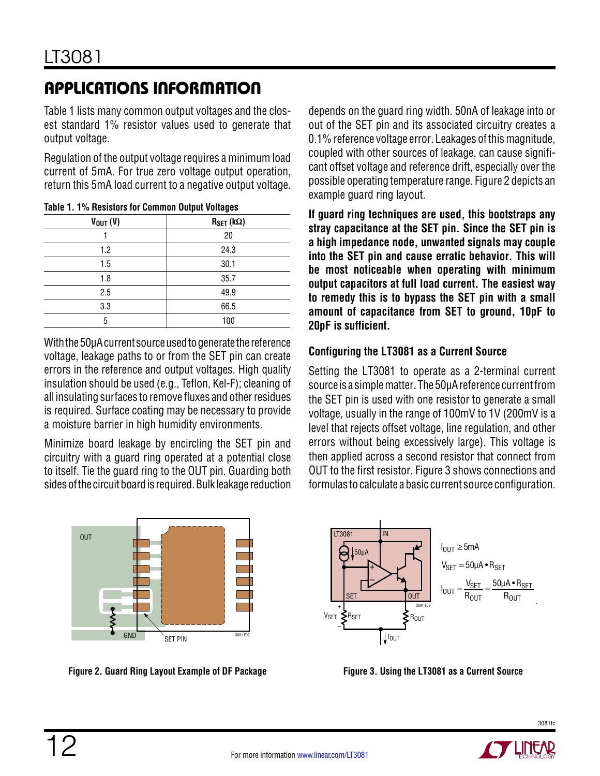Table 1 lists many common output voltages and the closest standard 1% resistor values used to generate that output voltage.

Regulation of the output voltage requires a minimum load current of 5mA. For true zero voltage output operation, return this 5mA load current to a negative output voltage.

|               | $\tilde{\phantom{a}}$ |
|---------------|-----------------------|
| $V_{OUT} (V)$ | $R_{\text{SET}}$ (kΩ) |
|               | 20                    |
| 1.2           | 24.3                  |
| 1.5           | 30.1                  |
| 1.8           | 35.7                  |
| 2.5           | 49.9                  |
| 3.3           | 66.5                  |
| 5             | 100                   |
|               |                       |

**Table 1. 1% Resistors for Common Output Voltages**

With the 50µA current source used to generate the reference voltage, leakage paths to or from the SET pin can create errors in the reference and output voltages. High quality insulation should be used (e.g., Teflon, Kel-F); cleaning of all insulating surfaces to remove fluxes and other residues is required. Surface coating may be necessary to provide a moisture barrier in high humidity environments.

Minimize board leakage by encircling the SET pin and circuitry with a guard ring operated at a potential close to itself. Tie the guard ring to the OUT pin. Guarding both sides of the circuit board is required. Bulk leakage reduction



**Figure 2. Guard Ring Layout Example of DF Package Figure 3. Using the LT3081 as a Current Source**

depends on the guard ring width. 50nA of leakage into or out of the SET pin and its associated circuitry creates a 0.1% reference voltage error. Leakages of this magnitude, coupled with other sources of leakage, can cause significant offset voltage and reference drift, especially over the possible operating temperature range. Figure 2 depicts an example guard ring layout.

**If guard ring techniques are used, this bootstraps any stray capacitance at the SET pin. Since the SET pin is a high impedance node, unwanted signals may couple into the SET pin and cause erratic behavior. This will be most noticeable when operating with minimum output capacitors at full load current. The easiest way to remedy this is to bypass the SET pin with a small amount of capacitance from SET to ground, 10pF to 20pF is sufficient.**

### **Configuring the LT3081 as a Current Source**

Setting the LT3081 to operate as a 2-terminal current source is a simple matter. The 50µA reference current from the SET pin is used with one resistor to generate a small voltage, usually in the range of 100mV to 1V (200mV is a level that rejects offset voltage, line regulation, and other errors without being excessively large). This voltage is then applied across a second resistor that connect from OUT to the first resistor. Figure 3 shows connections and formulas to calculate a basic current source configuration.



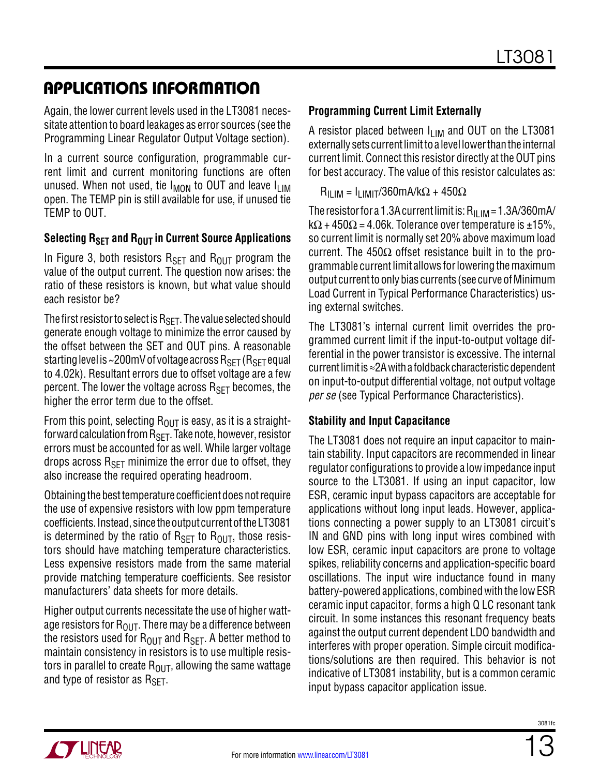Again, the lower current levels used in the LT3081 necessitate attention to board leakages as error sources (see the Programming Linear Regulator Output Voltage section).

In a current source configuration, programmable current limit and current monitoring functions are often unused. When not used, tie  $I_{MOM}$  to OUT and leave  $I_{LIM}$ open. The TEMP pin is still available for use, if unused tie TEMP to OUT.

### **Selecting R<sub>SFT</sub> and R<sub>OUT</sub> in Current Source Applications**

In Figure 3, both resistors  $R_{\text{SET}}$  and  $R_{\text{OUT}}$  program the value of the output current. The question now arises: the ratio of these resistors is known, but what value should each resistor be?

The first resistor to select is  $R_{\text{SET}}$ . The value selected should generate enough voltage to minimize the error caused by the offset between the SET and OUT pins. A reasonable starting level is ~200mV of voltage across  $R_{\text{SET}}$  ( $R_{\text{SET}}$  equal to 4.02k). Resultant errors due to offset voltage are a few percent. The lower the voltage across  $R_{\text{SFT}}$  becomes, the higher the error term due to the offset.

From this point, selecting  $R_{OIIT}$  is easy, as it is a straightforward calculation from  $R_{\text{SFT}}$ . Take note, however, resistor errors must be accounted for as well. While larger voltage drops across  $R_{\text{SFT}}$  minimize the error due to offset, they also increase the required operating headroom.

Obtaining the best temperature coefficient does not require the use of expensive resistors with low ppm temperature coefficients. Instead, since the output current of the LT3081 is determined by the ratio of  $R_{\text{SET}}$  to  $R_{\text{OUT}}$ , those resistors should have matching temperature characteristics. Less expensive resistors made from the same material provide matching temperature coefficients. See resistor manufacturers' data sheets for more details.

Higher output currents necessitate the use of higher wattage resistors for  $R_{\text{OUT}}$ . There may be a difference between the resistors used for  $R_{OIII}$  and  $R_{SFT}$ . A better method to maintain consistency in resistors is to use multiple resistors in parallel to create  $R_{O[1]T}$ , allowing the same wattage and type of resistor as  $R_{\text{SFT}}$ .

### **Programming Current Limit Externally**

A resistor placed between  $I_{LIM}$  and OUT on the LT3081 externally sets current limit to a level lower than the internal current limit. Connect this resistor directly at the OUT pins for best accuracy. The value of this resistor calculates as:

 $R_{II,IM} = I_{I,IMIT}/360$ mA/kΩ + 450Ω

The resistor for a 1.3A current limit is:  $R_{II,IM} = 1.3A/360mA/$  $k\Omega$  + 450 $\Omega$  = 4.06k. Tolerance over temperature is ±15%, so current limit is normally set 20% above maximum load current. The 450 $\Omega$  offset resistance built in to the programmable currentlimit allows for lowering the maximum output current to only bias currents (see curve of Minimum Load Current in Typical Performance Characteristics) using external switches.

The LT3081's internal current limit overrides the programmed current limit if the input-to-output voltage differential in the power transistor is excessive. The internal current limit is ≈2A with a foldback characteristic dependent on input-to-output differential voltage, not output voltage *per se* (see Typical Performance Characteristics).

### **Stability and Input Capacitance**

The LT3081 does not require an input capacitor to maintain stability. Input capacitors are recommended in linear regulator configurations to provide a low impedance input source to the LT3081. If using an input capacitor, low ESR, ceramic input bypass capacitors are acceptable for applications without long input leads. However, applications connecting a power supply to an LT3081 circuit's IN and GND pins with long input wires combined with low ESR, ceramic input capacitors are prone to voltage spikes, reliability concerns and application-specific board oscillations. The input wire inductance found in many battery-powered applications, combined with the low ESR ceramic input capacitor, forms a high Q LC resonant tank circuit. In some instances this resonant frequency beats against the output current dependent LDO bandwidth and interferes with proper operation. Simple circuit modifications/solutions are then required. This behavior is not indicative of LT3081 instability, but is a common ceramic input bypass capacitor application issue.

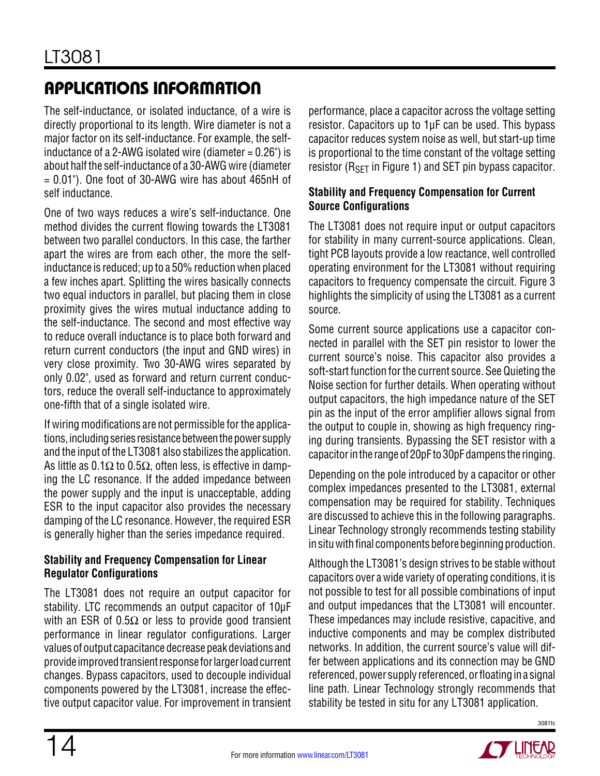The self-inductance, or isolated inductance, of a wire is directly proportional to its length. Wire diameter is not a major factor on its self-inductance. For example, the selfinductance of a 2-AWG isolated wire (diameter  $= 0.26$ ") is about half the self-inductance of a 30-AWG wire (diameter  $= 0.01$ "). One foot of 30-AWG wire has about 465nH of self inductance.

One of two ways reduces a wire's self-inductance. One method divides the current flowing towards the LT3081 between two parallel conductors. In this case, the farther apart the wires are from each other, the more the selfinductance is reduced; up to a 50% reduction when placed a few inches apart. Splitting the wires basically connects two equal inductors in parallel, but placing them in close proximity gives the wires mutual inductance adding to the self-inductance. The second and most effective way to reduce overall inductance is to place both forward and return current conductors (the input and GND wires) in very close proximity. Two 30-AWG wires separated by only 0.02", used as forward and return current conductors, reduce the overall self-inductance to approximately one-fifth that of a single isolated wire.

Ifwiring modifications are not permissible for the applications, including series resistance between the power supply and the input of the LT3081 also stabilizes the application. As little as 0.1 $\Omega$  to 0.5 $\Omega$ , often less, is effective in damping the LC resonance. If the added impedance between the power supply and the input is unacceptable, adding ESR to the input capacitor also provides the necessary damping of the LC resonance. However, the required ESR is generally higher than the series impedance required.

### **Stability and Frequency Compensation for Linear Regulator Configurations**

The LT3081 does not require an output capacitor for stability. LTC recommends an output capacitor of 10μF with an ESR of 0.5 $\Omega$  or less to provide good transient performance in linear regulator configurations. Larger values of output capacitance decrease peak deviations and provide improved transient response for larger load current changes. Bypass capacitors, used to decouple individual components powered by the LT3081, increase the effective output capacitor value. For improvement in transient performance, place a capacitor across the voltage setting resistor. Capacitors up to 1μF can be used. This bypass capacitor reduces system noise as well, but start-up time is proportional to the time constant of the voltage setting resistor ( $R_{\text{SFT}}$  in Figure 1) and SET pin bypass capacitor.

#### **Stability and Frequency Compensation for Current Source Configurations**

The LT3081 does not require input or output capacitors for stability in many current-source applications. Clean, tight PCB layouts provide a low reactance, well controlled operating environment for the LT3081 without requiring capacitors to frequency compensate the circuit. Figure 3 highlights the simplicity of using the LT3081 as a current source.

Some current source applications use a capacitor connected in parallel with the SET pin resistor to lower the current source's noise. This capacitor also provides a soft-start function for the current source. See Quieting the Noise section for further details. When operating without output capacitors, the high impedance nature of the SET pin as the input of the error amplifier allows signal from the output to couple in, showing as high frequency ringing during transients. Bypassing the SET resistor with a capacitorinthe rangeof 20pF to 30pFdampens the ringing.

Depending on the pole introduced by a capacitor or other complex impedances presented to the LT3081, external compensation may be required for stability. Techniques are discussed to achieve this in the following paragraphs. Linear Technology strongly recommends testing stability in situ with final components before beginning production.

Although the LT3081's design strives to be stable without capacitors over a wide variety of operating conditions, it is not possible to test for all possible combinations of input and output impedances that the LT3081 will encounter. These impedances may include resistive, capacitive, and inductive components and may be complex distributed networks. In addition, the current source's value will differ between applications and its connection may be GND referenced, power supply referenced, or floating in a signal line path. Linear Technology strongly recommends that stability be tested in situ for any LT3081 application.



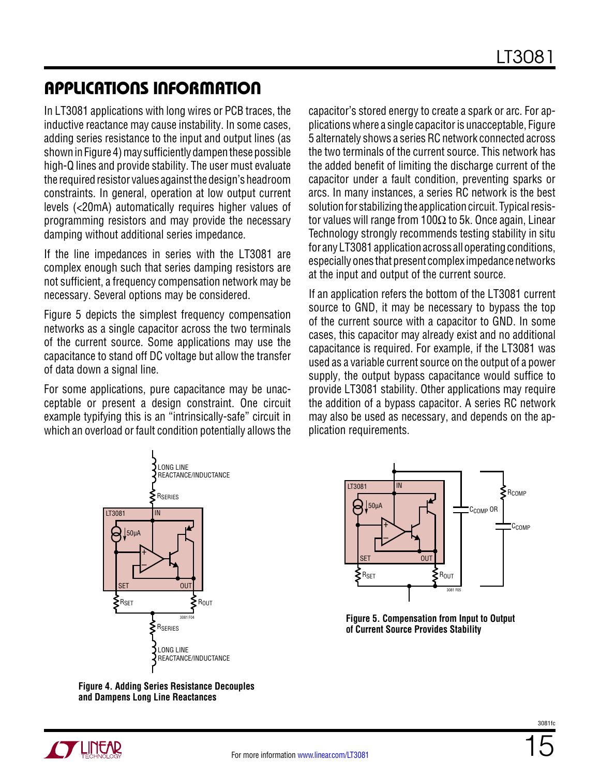In LT3081 applications with long wires or PCB traces, the inductive reactance may cause instability. In some cases, adding series resistance to the input and output lines (as shown in Figure 4) may sufficiently dampen these possible high-Q lines and provide stability. The user must evaluate the required resistor values against the design's headroom constraints. In general, operation at low output current levels (<20mA) automatically requires higher values of programming resistors and may provide the necessary damping without additional series impedance.

If the line impedances in series with the LT3081 are complex enough such that series damping resistors are not sufficient, a frequency compensation network may be necessary. Several options may be considered.

Figure 5 depicts the simplest frequency compensation networks as a single capacitor across the two terminals of the current source. Some applications may use the capacitance to stand off DC voltage but allow the transfer of data down a signal line.

For some applications, pure capacitance may be unacceptable or present a design constraint. One circuit example typifying this is an "intrinsically-safe" circuit in which an overload or fault condition potentially allows the

capacitor's stored energy to create a spark or arc. For applications where a single capacitor is unacceptable, Figure 5 alternately shows a series RC network connected across the two terminals of the current source. This network has the added benefit of limiting the discharge current of the capacitor under a fault condition, preventing sparks or arcs. In many instances, a series RC network is the best solution for stabilizing the application circuit. Typical resistor values will range from 100Ω to 5k. Once again, Linear Technology strongly recommends testing stability in situ for any LT3081 application across all operating conditions, especially ones that present complex impedance networks at the input and output of the current source.

If an application refers the bottom of the LT3081 current source to GND, it may be necessary to bypass the top of the current source with a capacitor to GND. In some cases, this capacitor may already exist and no additional capacitance is required. For example, if the LT3081 was used as a variable current source on the output of a power supply, the output bypass capacitance would suffice to provide LT3081 stability. Other applications may require the addition of a bypass capacitor. A series RC network may also be used as necessary, and depends on the application requirements.



**Figure 4. Adding Series Resistance Decouples and Dampens Long Line Reactances**



**Figure 5. Compensation from Input to Output of Current Source Provides Stability**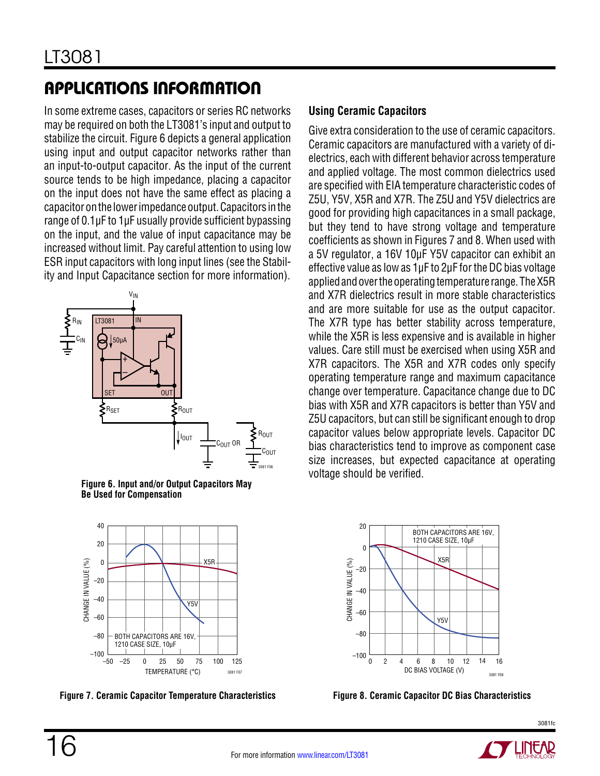In some extreme cases, capacitors or series RC networks may be required on both the LT3081's input and output to stabilize the circuit. Figure 6 depicts a general application using input and output capacitor networks rather than an input-to-output capacitor. As the input of the current source tends to be high impedance, placing a capacitor on the input does not have the same effect as placing a capacitor on the lower impedance output. Capacitors in the range of 0.1µF to 1µF usually provide sufficient bypassing on the input, and the value of input capacitance may be increased without limit. Pay careful attention to using low ESR input capacitors with long input lines (see the Stability and Input Capacitance section for more information).



**Figure 6. Input and/or Output Capacitors May Be Used for Compensation**



**Figure 7. Ceramic Capacitor Temperature Characteristics Figure 8. Ceramic Capacitor DC Bias Characteristics**

#### **Using Ceramic Capacitors**

Give extra consideration to the use of ceramic capacitors. Ceramic capacitors are manufactured with a variety of dielectrics, each with different behavior across temperature and applied voltage. The most common dielectrics used are specified with EIA temperature characteristic codes of Z5U, Y5V, X5R and X7R. The Z5U and Y5V dielectrics are good for providing high capacitances in a small package, but they tend to have strong voltage and temperature coefficients as shown in Figures 7 and 8. When used with a 5V regulator, a 16V 10μF Y5V capacitor can exhibit an effective value as low as 1μF to 2μF for the DC bias voltage applied and over the operating temperature range. The X5R and X7R dielectrics result in more stable characteristics and are more suitable for use as the output capacitor. The X7R type has better stability across temperature, while the X5R is less expensive and is available in higher values. Care still must be exercised when using X5R and X7R capacitors. The X5R and X7R codes only specify operating temperature range and maximum capacitance change over temperature. Capacitance change due to DC bias with X5R and X7R capacitors is better than Y5V and Z5U capacitors, but can still be significant enough to drop capacitor values below appropriate levels. Capacitor DC bias characteristics tend to improve as component case size increases, but expected capacitance at operating voltage should be verified.



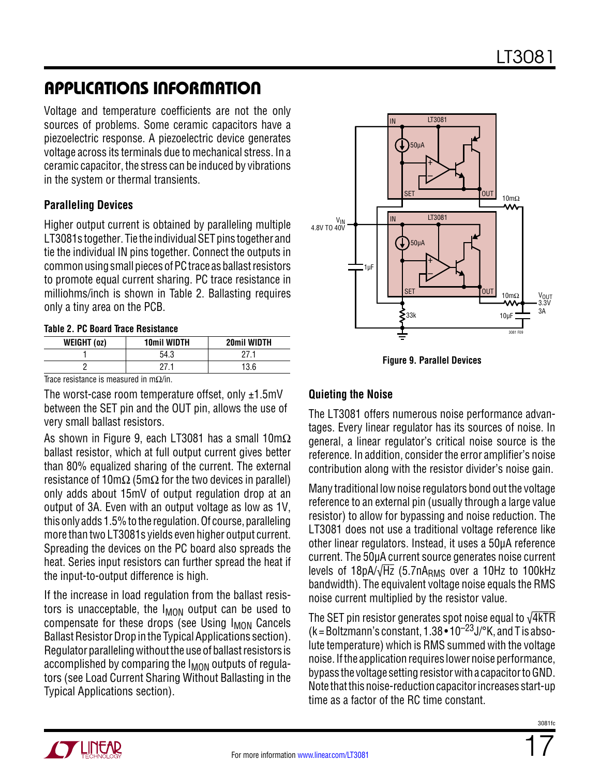Voltage and temperature coefficients are not the only sources of problems. Some ceramic capacitors have a piezoelectric response. A piezoelectric device generates voltage across its terminals due to mechanical stress. In a ceramic capacitor, the stress can be induced by vibrations in the system or thermal transients.

#### **Paralleling Devices**

Higher output current is obtained by paralleling multiple LT3081s together. Tie the individual SET pins together and tie the individual IN pins together. Connect the outputs in common using small pieces of PC trace as ballast resistors to promote equal current sharing. PC trace resistance in milliohms/inch is shown in Table 2. Ballasting requires only a tiny area on the PCB.

#### **Table 2. PC Board Trace Resistance**

| WEIGHT (0z) | 10mil WIDTH | 20mil WIDTH |
|-------------|-------------|-------------|
|             | 54.3        |             |
|             |             | 13.6        |

Trace resistance is measured in m $\Omega$ /in.

The worst-case room temperature offset, only  $\pm 1.5$ mV between the SET pin and the OUT pin, allows the use of very small ballast resistors.

As shown in Figure 9, each LT3081 has a small  $10 \text{m}\Omega$ ballast resistor, which at full output current gives better than 80% equalized sharing of the current. The external resistance of 10m $\Omega$  (5m $\Omega$  for the two devices in parallel) only adds about 15mV of output regulation drop at an output of 3A. Even with an output voltage as low as 1V, thisonly adds 1.5% tothe regulation. Of course, paralleling more than two LT3081s yields even higher output current. Spreading the devices on the PC board also spreads the heat. Series input resistors can further spread the heat if the input-to-output difference is high.

If the increase in load regulation from the ballast resistors is unacceptable, the  $I_{MOM}$  output can be used to compensate for these drops (see Using I<sub>MON</sub> Cancels Ballast Resistor Drop in the Typical Applications section). Regulator paralleling without the use of ballast resistors is accomplished by comparing the I<sub>MON</sub> outputs of regulators (see Load Current Sharing Without Ballasting in the Typical Applications section).



**Figure 9. Parallel Devices**

### **Quieting the Noise**

The LT3081 offers numerous noise performance advantages. Every linear regulator has its sources of noise. In general, a linear regulator's critical noise source is the reference. In addition, consider the error amplifier's noise contribution along with the resistor divider's noise gain.

Many traditional low noise regulators bond out the voltage reference to an external pin (usually through a large value resistor) to allow for bypassing and noise reduction. The LT3081 does not use a traditional voltage reference like other linear regulators. Instead, it uses a 50µA reference current. The 50µA current source generates noise current levels of  $18pA/\sqrt{Hz}$  (5.7n $A<sub>RMS</sub>$  over a 10Hz to 100kHz bandwidth). The equivalent voltage noise equals the RMS noise current multiplied by the resistor value.

The SET pin resistor generates spot noise equal to  $\sqrt{4kTR}$  $(k = Boltzmann's constant, 1.38 \cdot 10^{-23}$  J/°K, and T is absolute temperature) which is RMS summed with the voltage noise. If the application requires lower noise performance, bypass the voltage setting resistor with a capacitor to GND. Note that this noise-reduction capacitor increases start-up time as a factor of the RC time constant.



17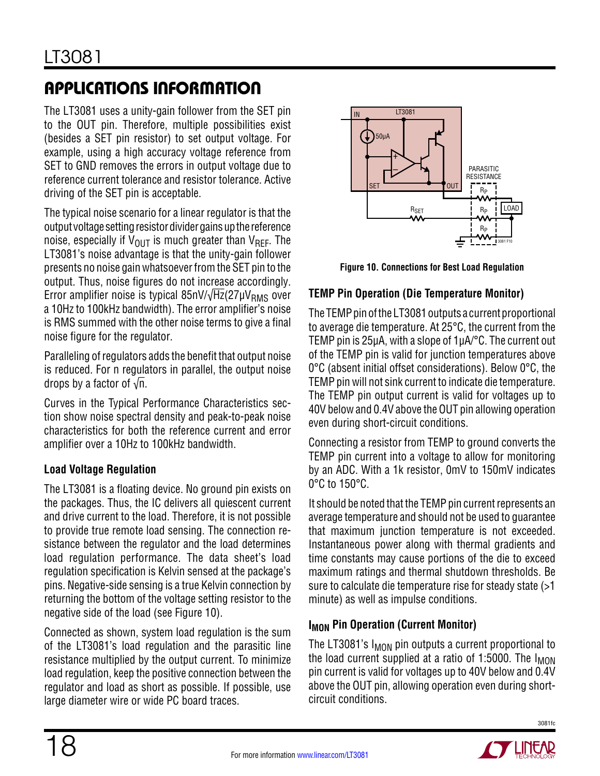The LT3081 uses a unity-gain follower from the SET pin to the OUT pin. Therefore, multiple possibilities exist (besides a SET pin resistor) to set output voltage. For example, using a high accuracy voltage reference from SET to GND removes the errors in output voltage due to reference current tolerance and resistor tolerance. Active driving of the SET pin is acceptable.

The typical noise scenario for a linear regulator is that the output voltage setting resistor divider gains up the reference noise, especially if  $V_{\text{OUT}}$  is much greater than  $V_{\text{RFF}}$ . The LT3081's noise advantage is that the unity-gain follower presents no noise gain whatsoever from the SET pin to the output. Thus, noise figures do not increase accordingly. Error amplifier noise is typical 85nV/ $\sqrt{Hz}$ (27µV<sub>RMS</sub> over a 10Hz to 100kHz bandwidth). The error amplifier's noise is RMS summed with the other noise terms to give a final noise figure for the regulator.

Paralleling of regulators adds the benefit that output noise is reduced. For n regulators in parallel, the output noise drops by a factor of  $\sqrt{n}$ .

Curves in the Typical Performance Characteristics section show noise spectral density and peak-to-peak noise characteristics for both the reference current and error amplifier over a 10Hz to 100kHz bandwidth.

### **Load Voltage Regulation**

The LT3081 is a floating device. No ground pin exists on the packages. Thus, the IC delivers all quiescent current and drive current to the load. Therefore, it is not possible to provide true remote load sensing. The connection resistance between the regulator and the load determines load regulation performance. The data sheet's load regulation specification is Kelvin sensed at the package's pins. Negative-side sensing is a true Kelvin connection by returning the bottom of the voltage setting resistor to the negative side of the load (see Figure 10).

Connected as shown, system load regulation is the sum of the LT3081's load regulation and the parasitic line resistance multiplied by the output current. To minimize load regulation, keep the positive connection between the regulator and load as short as possible. If possible, use large diameter wire or wide PC board traces.



**Figure 10. Connections for Best Load Regulation**

### **TEMP Pin Operation (Die Temperature Monitor)**

The TEMP pin of the LT3081 outputs a current proportional to average die temperature. At 25°C, the current from the TEMP pin is 25µA, with a slope of 1µA/°C. The current out of the TEMP pin is valid for junction temperatures above 0°C (absent initial offset considerations). Below 0°C, the TEMP pin will not sink current to indicate die temperature. The TEMP pin output current is valid for voltages up to 40V below and 0.4V above the OUT pin allowing operation even during short-circuit conditions.

Connecting a resistor from TEMP to ground converts the TEMP pin current into a voltage to allow for monitoring by an ADC. With a 1k resistor, 0mV to 150mV indicates 0°C to 150°C.

It should be noted that the TEMP pin current represents an average temperature and should not be used to guarantee that maximum junction temperature is not exceeded. Instantaneous power along with thermal gradients and time constants may cause portions of the die to exceed maximum ratings and thermal shutdown thresholds. Be sure to calculate die temperature rise for steady state (>1 minute) as well as impulse conditions.

### **I<sub>MON</sub>** Pin Operation (Current Monitor)

The LT3081's  $I_{MON}$  pin outputs a current proportional to the load current supplied at a ratio of 1:5000. The  $I_{MON}$ pin current is valid for voltages up to 40V below and 0.4V above the OUT pin, allowing operation even during shortcircuit conditions.

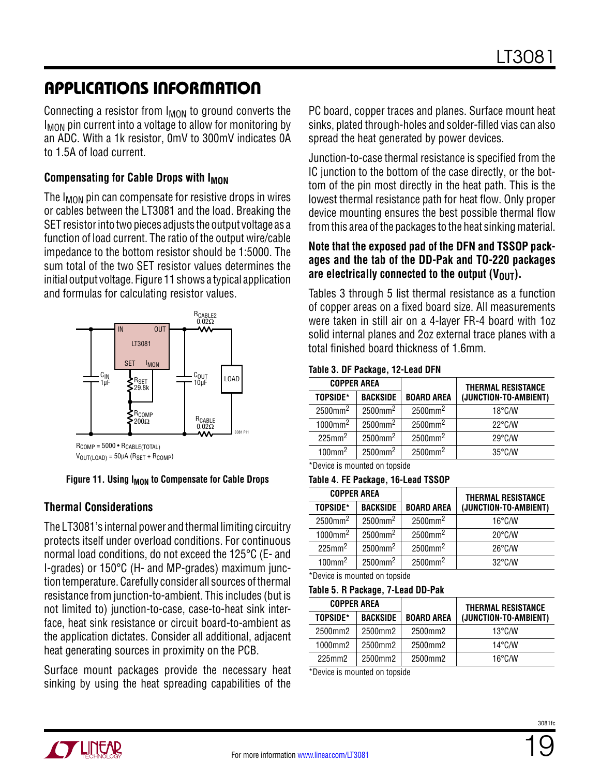Connecting a resistor from  $I_{MON}$  to ground converts the I<sub>MON</sub> pin current into a voltage to allow for monitoring by an ADC. With a 1k resistor, 0mV to 300mV indicates 0A to 1.5A of load current.

#### **Compensating for Cable Drops with I<sub>MON</sub>**

The I<sub>MON</sub> pin can compensate for resistive drops in wires or cables between the LT3081 and the load. Breaking the SET resistor into two pieces adjusts the output voltage as a function of load current. The ratio of the output wire/cable impedance to the bottom resistor should be 1:5000. The sum total of the two SET resistor values determines the initial output voltage. Figure 11 shows a typical application and formulas for calculating resistor values.



RCOMP = 5000 • RCABLE(TOTAL)  $V_{\text{OUT(LOAD)}} = 50\mu\text{A}$  (R<sub>SET</sub> + R<sub>COMP</sub>)

#### Figure 11. Using I<sub>MON</sub> to Compensate for Cable Drops

#### **Thermal Considerations**

The LT3081's internal power and thermal limiting circuitry protects itself under overload conditions. For continuous normal load conditions, do not exceed the 125°C (E- and I-grades) or 150°C (H- and MP-grades) maximum junction temperature. Carefully consider all sources of thermal resistance from junction-to-ambient. This includes (but is not limited to) junction-to-case, case-to-heat sink interface, heat sink resistance or circuit board-to-ambient as the application dictates. Consider all additional, adjacent heat generating sources in proximity on the PCB.

Surface mount packages provide the necessary heat sinking by using the heat spreading capabilities of the

PC board, copper traces and planes. Surface mount heat sinks, plated through-holes and solder-filled vias can also spread the heat generated by power devices.

Junction-to-case thermal resistance is specified from the IC junction to the bottom of the case directly, or the bottom of the pin most directly in the heat path. This is the lowest thermal resistance path for heat flow. Only proper device mounting ensures the best possible thermal flow from this area of the packages to the heat sinking material.

#### **Note that the exposed pad of the DFN and TSSOP packages and the tab of the DD-Pak and TO-220 packages**  are electrically connected to the output  $(V_{\text{OUT}})$ .

Tables 3 through 5 list thermal resistance as a function of copper areas on a fixed board size. All measurements were taken in still air on a 4-layer FR-4 board with 1oz solid internal planes and 2oz external trace planes with a total finished board thickness of 1.6mm.

#### **Table 3. DF Package, 12-Lead DFN**

| <b>COPPER AREA</b>     |                        |                        | <b>THERMAL RESISTANCE</b> |
|------------------------|------------------------|------------------------|---------------------------|
| TOPSIDE*               | <b>BACKSIDE</b>        | <b>BOARD AREA</b>      | (JUNCTION-TO-AMBIENT)     |
| $2500$ mm <sup>2</sup> | $2500$ mm <sup>2</sup> | $2500$ mm <sup>2</sup> | $18^{\circ}$ C/W          |
| $1000$ mm <sup>2</sup> | $2500$ mm <sup>2</sup> | $2500$ mm <sup>2</sup> | $22^{\circ}$ C/W          |
| $225$ mm <sup>2</sup>  | $2500$ mm <sup>2</sup> | 2500mm <sup>2</sup>    | $29^{\circ}$ C/W          |
| $100$ mm <sup>2</sup>  | $2500$ mm <sup>2</sup> | $2500$ mm <sup>2</sup> | $35^{\circ}$ C/W          |

\*Device is mounted on topside

#### **Table 4. FE Package, 16-Lead TSSOP**

| <b>COPPER AREA</b>     |                        |                        | <b>THERMAL RESISTANCE</b> |
|------------------------|------------------------|------------------------|---------------------------|
| TOPSIDE*               | <b>BACKSIDE</b>        | <b>BOARD AREA</b>      | (JUNCTION-TO-AMBIENT)     |
| $2500$ mm <sup>2</sup> | $2500$ mm <sup>2</sup> | 2500mm <sup>2</sup>    | $16^{\circ}$ C/W          |
| $1000$ mm <sup>2</sup> | $2500$ mm <sup>2</sup> | $2500$ mm <sup>2</sup> | $20^{\circ}$ C/W          |
| $225$ mm <sup>2</sup>  | $2500$ mm <sup>2</sup> | $2500$ mm <sup>2</sup> | $26^{\circ}$ C/W          |
| $100$ mm <sup>2</sup>  | $2500$ mm <sup>2</sup> | $2500$ mm <sup>2</sup> | $32^{\circ}$ C/W          |

\*Device is mounted on topside

#### **Table 5. R Package, 7-Lead DD-Pak**

| <b>COPPER AREA</b> |  |                 |                   |                       | <b>THERMAL RESISTANCE</b> |
|--------------------|--|-----------------|-------------------|-----------------------|---------------------------|
| TOPSIDE*           |  | <b>BACKSIDE</b> | <b>BOARD AREA</b> | (JUNCTION-TO-AMBIENT) |                           |
| 2500mm2            |  | 2500mm2         | 2500mm2           | $13^{\circ}$ C/W      |                           |
| 1000mm2            |  | 2500mm2         | 2500mm2           | $14^{\circ}$ C/W      |                           |
| 225mm2             |  | 2500mm2         | 2500mm2           | $16^{\circ}$ C/W      |                           |

\*Device is mounted on topside

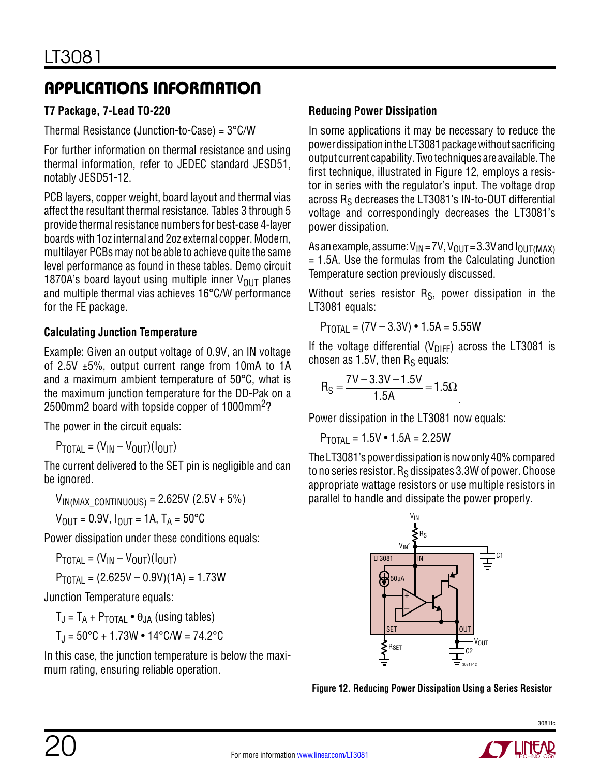### **T7 Package, 7-Lead TO-220**

Thermal Resistance (Junction-to-Case) = 3°C/W

For further information on thermal resistance and using thermal information, refer to JEDEC standard JESD51, notably JESD51-12.

PCB layers, copper weight, board layout and thermal vias affect the resultant thermal resistance. Tables 3 through 5 provide thermal resistance numbers for best-case 4-layer boards with 1oz internal and 2oz external copper. Modern, multilayer PCBs may not be able to achieve quite the same level performance as found in these tables. Demo circuit 1870A's board layout using multiple inner  $V_{OUT}$  planes and multiple thermal vias achieves 16°C/W performance for the FE package.

### **Calculating Junction Temperature**

Example: Given an output voltage of 0.9V, an IN voltage of 2.5V  $\pm$ 5%, output current range from 10mA to 1A and a maximum ambient temperature of 50°C, what is the maximum junction temperature for the DD-Pak on a 2500mm2 board with topside copper of 1000mm2?

The power in the circuit equals:

 $P_{\text{TOTAL}} = (V_{\text{IN}} - V_{\text{OUT}})(I_{\text{OUT}})$ 

The current delivered to the SET pin is negligible and can be ignored.

 $V_{IN(MAX\_CONTINUOUS)} = 2.625V (2.5V + 5%)$ 

 $V_{\text{OUT}} = 0.9V$ ,  $I_{\text{OUT}} = 1A$ ,  $T_A = 50^{\circ}C$ 

Power dissipation under these conditions equals:

 $P_{\text{TOTAL}} = (V_{\text{IN}} - V_{\text{OUT}})(I_{\text{OUT}})$  $P_{\text{TOTAI}} = (2.625V - 0.9V)(1A) = 1.73W$ 

Junction Temperature equals:

 $T_{J} = T_A + P_{\text{TOTAI}} \bullet \theta_{JA}$  (using tables)

$$
T_J = 50^{\circ}C + 1.73W \cdot 14^{\circ}C/W = 74.2^{\circ}C
$$

In this case, the junction temperature is below the maximum rating, ensuring reliable operation.

### **Reducing Power Dissipation**

In some applications it may be necessary to reduce the powerdissipationintheLT3081packagewithoutsacrificing output current capability. Two techniques are available. The first technique, illustrated in Figure 12, employs a resistor in series with the regulator's input. The voltage drop across  $R<sub>S</sub>$  decreases the LT3081's IN-to-OUT differential voltage and correspondingly decreases the LT3081's power dissipation.

As an example, assume:  $V_{IN} = 7V$ ,  $V_{OUT} = 3.3V$  and  $I_{OUT}$   $MAX$ ) = 1.5A. Use the formulas from the Calculating Junction Temperature section previously discussed.

Without series resistor  $R<sub>S</sub>$ , power dissipation in the LT3081 equals:

 $P_{\text{TOTAI}} = (7V - 3.3V) \cdot 1.5A = 5.55W$ 

If the voltage differential ( $V_{\text{DIFF}}$ ) across the LT3081 is chosen as  $1.5V$ , then  $R_S$  equals:

$$
R_S = \frac{7V - 3.3V - 1.5V}{1.5A} = 1.5\Omega
$$

Power dissipation in the LT3081 now equals:

 $P_{\text{TOTA}} = 1.5V \cdot 1.5A = 2.25W$ 

The LT3081's power dissipation is now only 40% compared to no series resistor.  $R_S$  dissipates 3.3W of power. Choose appropriate wattage resistors or use multiple resistors in parallel to handle and dissipate the power properly.



**Figure 12. Reducing Power Dissipation Using a Series Resistor**

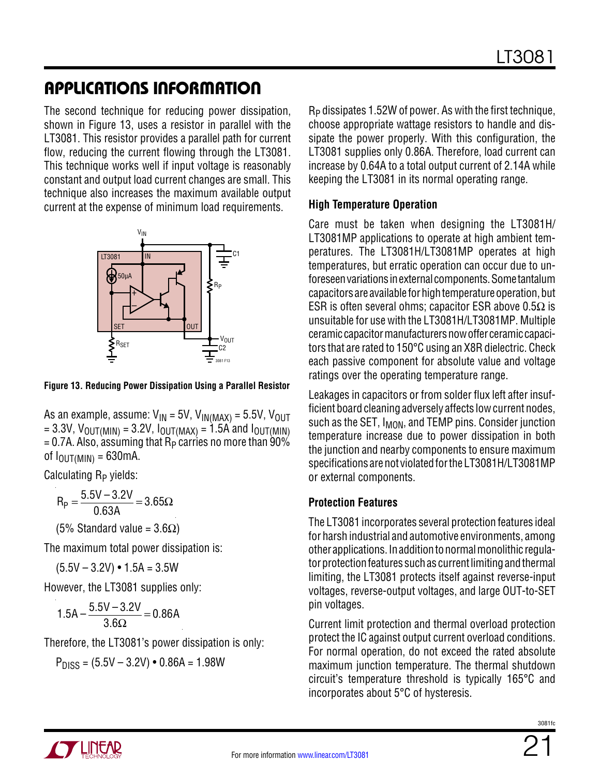The second technique for reducing power dissipation, shown in Figure 13, uses a resistor in parallel with the LT3081. This resistor provides a parallel path for current flow, reducing the current flowing through the LT3081. This technique works well if input voltage is reasonably constant and output load current changes are small. This technique also increases the maximum available output current at the expense of minimum load requirements.



**Figure 13. Reducing Power Dissipation Using a Parallel Resistor**

As an example, assume:  $V_{IN} = 5V$ ,  $V_{IN(MAX)} = 5.5V$ ,  $V_{OUT}$ = 3.3V,  $V_{\text{OUT(MIN)}}$  = 3.2V,  $I_{\text{OUT(MAX)}}$  = 1.5A and  $I_{\text{OUT(MIN)}}$  $= 0.7$ A. Also, assuming that  $R<sub>P</sub>$  carries no more than 90% of  $I_{OUT(MIN)} = 630mA$ .

Calculating  $R_P$  yields:

$$
R_p = \frac{5.5V - 3.2V}{0.63A} = 3.65\Omega
$$

(5% Standard value = 3.6Ω)

The maximum total power dissipation is:

 $(5.5V - 3.2V) \cdot 1.5A = 3.5W$ 

However, the LT3081 supplies only:

$$
1.5A - \frac{5.5V - 3.2V}{3.6\Omega} = 0.86A
$$

Therefore, the LT3081's power dissipation is only:

 $P_{DISS} = (5.5V - 3.2V) \cdot 0.86A = 1.98W$ 

RP dissipates 1.52W of power. As with the first technique, choose appropriate wattage resistors to handle and dissipate the power properly. With this configuration, the LT3081 supplies only 0.86A. Therefore, load current can increase by 0.64A to a total output current of 2.14A while keeping the LT3081 in its normal operating range.

### **High Temperature Operation**

Care must be taken when designing the LT3081H/ LT3081MP applications to operate at high ambient temperatures. The LT3081H/LT3081MP operates at high temperatures, but erratic operation can occur due to unforeseen variations in external components. Some tantalum capacitors are available for high temperature operation, but ESR is often several ohms; capacitor ESR above  $0.5\Omega$  is unsuitable for use with the LT3081H/LT3081MP. Multiple ceramic capacitor manufacturers now offer ceramic capacitors that are rated to 150°C using an X8R dielectric. Check each passive component for absolute value and voltage ratings over the operating temperature range.

Leakages in capacitors or from solder flux left after insufficient board cleaning adversely affects low current nodes, such as the SET,  $I_{MON}$ , and TEMP pins. Consider junction temperature increase due to power dissipation in both the junction and nearby components to ensure maximum specifications are not violated for the LT3081H/LT3081MP or external components.

### **Protection Features**

The LT3081 incorporates several protection features ideal for harsh industrial and automotive environments, among other applications. In addition to normal monolithic regulator protection features such as current limiting and thermal limiting, the LT3081 protects itself against reverse-input voltages, reverse-output voltages, and large OUT-to-SET pin voltages.

Current limit protection and thermal overload protection protect the IC against output current overload conditions. For normal operation, do not exceed the rated absolute maximum junction temperature. The thermal shutdown circuit's temperature threshold is typically 165°C and incorporates about 5°C of hysteresis.

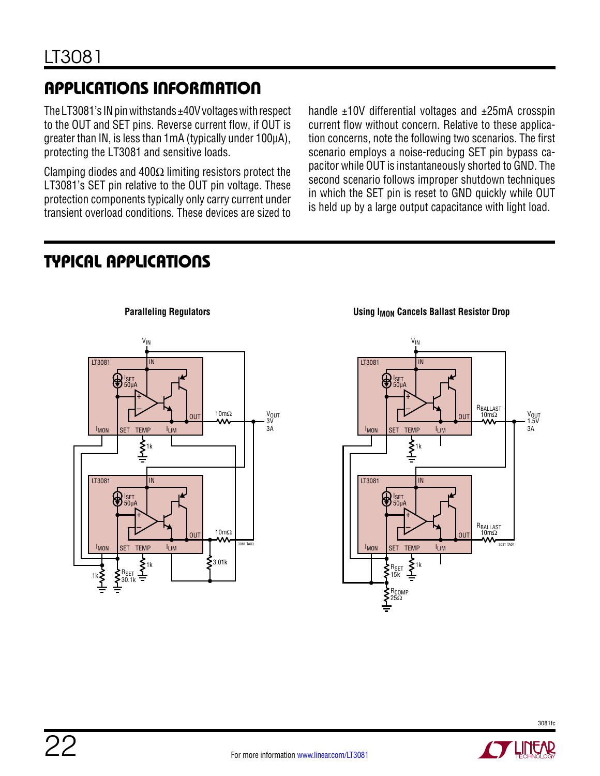The LT3081's IN pin withstands  $\pm$ 40V voltages with respect to the OUT and SET pins. Reverse current flow, if OUT is greater than IN, is less than 1mA (typically under 100µA), protecting the LT3081 and sensitive loads.

Clamping diodes and 400 $\Omega$  limiting resistors protect the LT3081's SET pin relative to the OUT pin voltage. These protection components typically only carry current under transient overload conditions. These devices are sized to handle ±10V differential voltages and ±25mA crosspin current flow without concern. Relative to these application concerns, note the following two scenarios. The first scenario employs a noise-reducing SET pin bypass capacitor while OUT is instantaneously shorted to GND. The second scenario follows improper shutdown techniques in which the SET pin is reset to GND quickly while OUT is held up by a large output capacitance with light load.

### Typical Applications



**Paralleling Regulators Constanting Regulators Constanting Cancels Ballast Resistor Drop** 



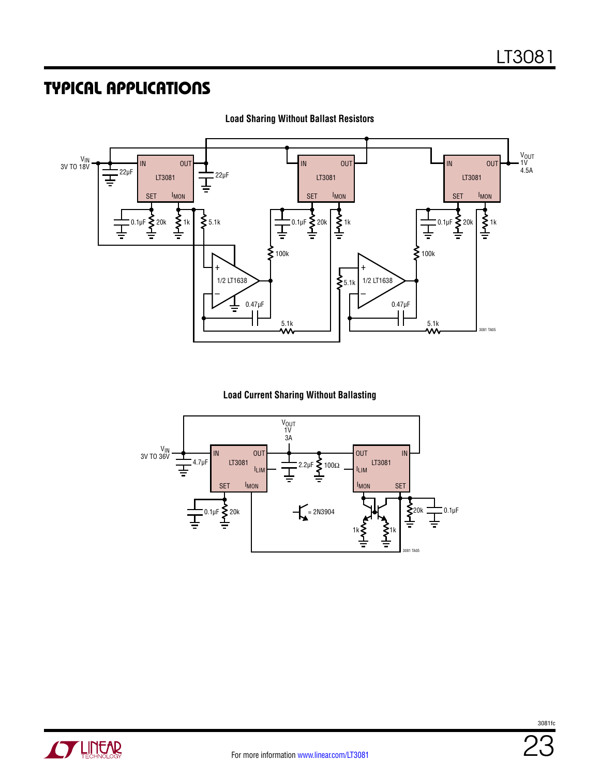### Typical Applications



**Load Sharing Without Ballast Resistors**

#### **Load Current Sharing Without Ballasting**



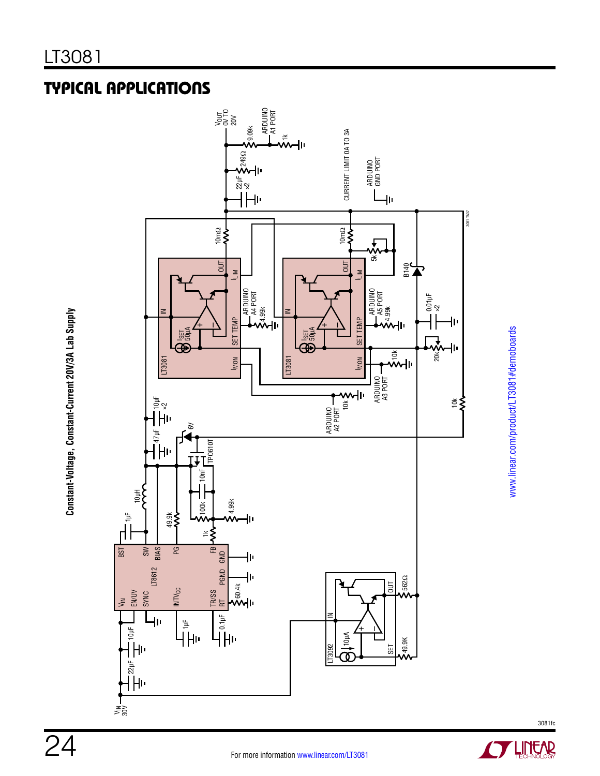**Constant-Voltage, Constant-Current 20V/3A Lab Supply**

Constant-Voltage, Constant-Current 20V/3A Lab Supply

## Typical Applications



www.linear.com/product/LT3081#demoboards www.linear.com/product/LT3081#demoboards

24

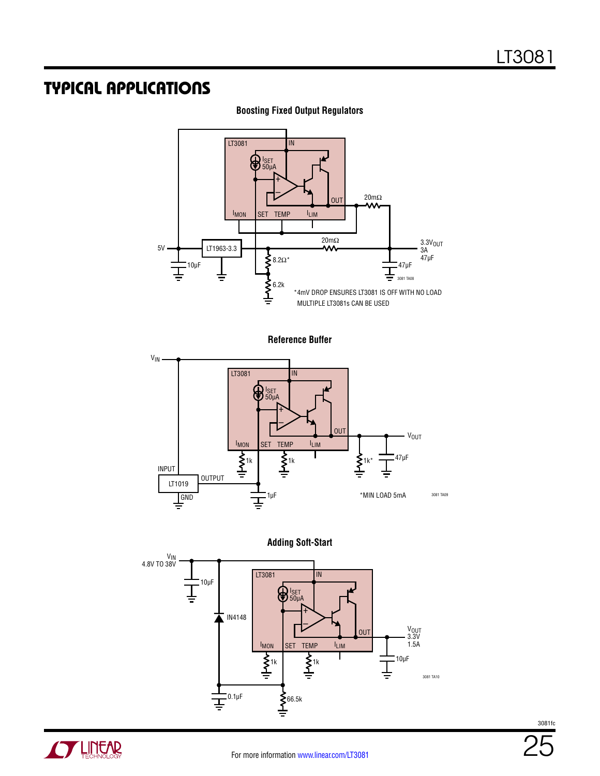### Typical Applications



**Boosting Fixed Output Regulators**

**Reference Buffer**







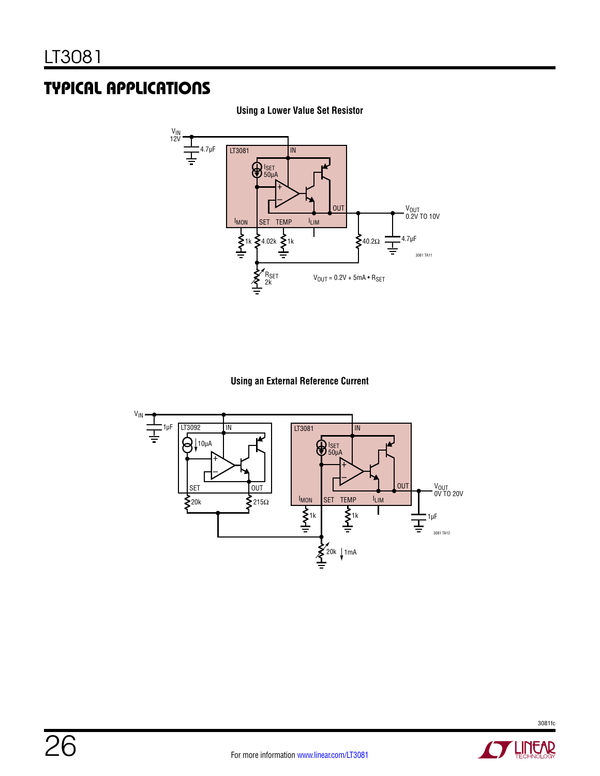### Typical Applications



**Using a Lower Value Set Resistor**

#### **Using an External Reference Current**

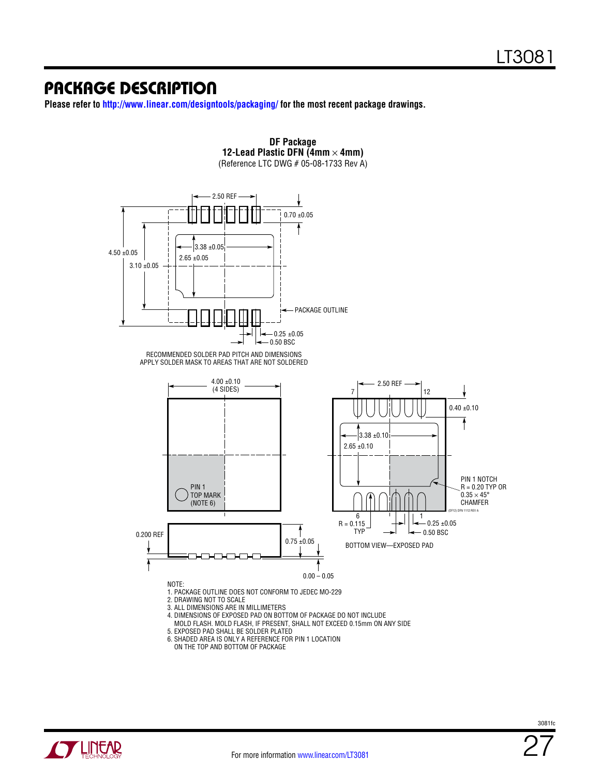**Please refer to http://www.linear.com/designtools/packaging/ for the most recent package drawings.**



ON THE TOP AND BOTTOM OF PACKAGE

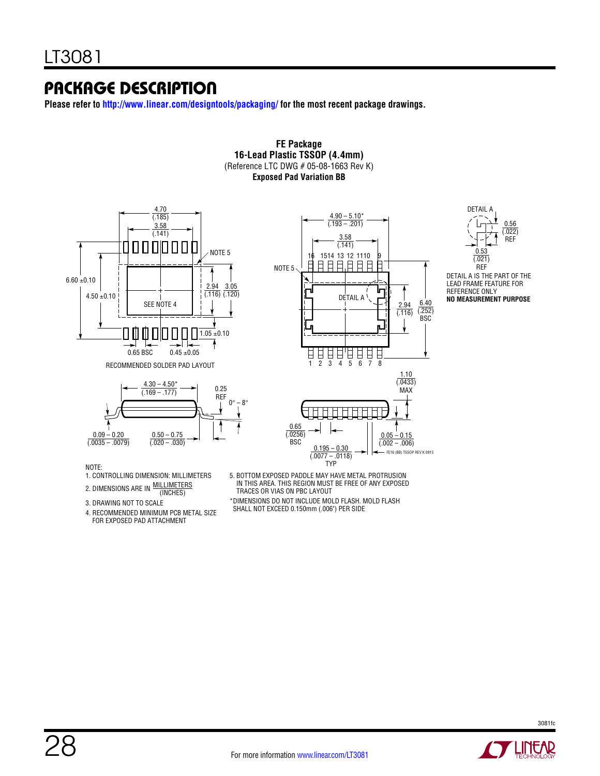**Please refer to http://www.linear.com/designtools/packaging/ for the most recent package drawings.**

#### **Exposed Pad Variation BB** 4.70 DETAIL A $(185)$  $4.90 - 5.10*$  $(0.193 - 0.201)$ 0.56 3.58 (.022) (.141) 3.58 REF 000000 П  $(141)$ NOTE 5  $\Omega$ 16 1514 13 12 1110 9  $(0.021)$ NOTE 5 REF  $6.60 \pm 0.10$ LEAD FRAME FEATURE FOR 2.94 3.05 Ir REFERENCE ONLY  $4.50\pm0.10$ (.116) (.120) DETAIL A **NO MEASUREMENT PURPOSE** 6.40 SEE NOTE 4 2.94  $( .252)$  $(0.116)$ BSC  $1.05 \pm 0.10$ Ш 0.65 BSC  $0.45 \pm 0.05$ 日日日日日日<br>1 2 3 4 5 6 7 8 RECOMMENDED SOLDER PAD LAYOUT 1.10  $(0.0433)$  $4.30 - 4.50*$ 0.25 MAX (.169 – .177) REF  $0^\circ - 8^\circ$ Ť 0.65  $0.09 - 0.20$  $0.50 - 0.75$ (.0256)  $0.05 - 0.15$  $\overline{(.0035 - .0079)}$  $(0.020 - 0.030)$ BSC  $(.002 - .006)$  $0.195 - 0.30$ FE16 (BB) TSSOP REV K 0913  $(0.0077 - 0.0118)$ TYP

**FE Package 16-Lead Plastic TSSOP (4.4mm)** (Reference LTC DWG # 05-08-1663 Rev K)

#### NOTE:

- 1. CONTROLLING DIMENSION: MILLIMETERS
- MILLIMETERS 2. DIMENSIONS ARE IN WILLINGTER
- 3. DRAWING NOT TO SCALE

4. RECOMMENDED MINIMUM PCB METAL SIZE FOR EXPOSED PAD ATTACHMENT

5. BOTTOM EXPOSED PADDLE MAY HAVE METAL PROTRUSION IN THIS AREA. THIS REGION MUST BE FREE OF ANY EXPOSED TRACES OR VIAS ON PBC LAYOUT

\*DIMENSIONS DO NOT INCLUDE MOLD FLASH. MOLD FLASH SHALL NOT EXCEED 0.150mm (.006") PER SIDE

DETAIL A IS THE PART OF THE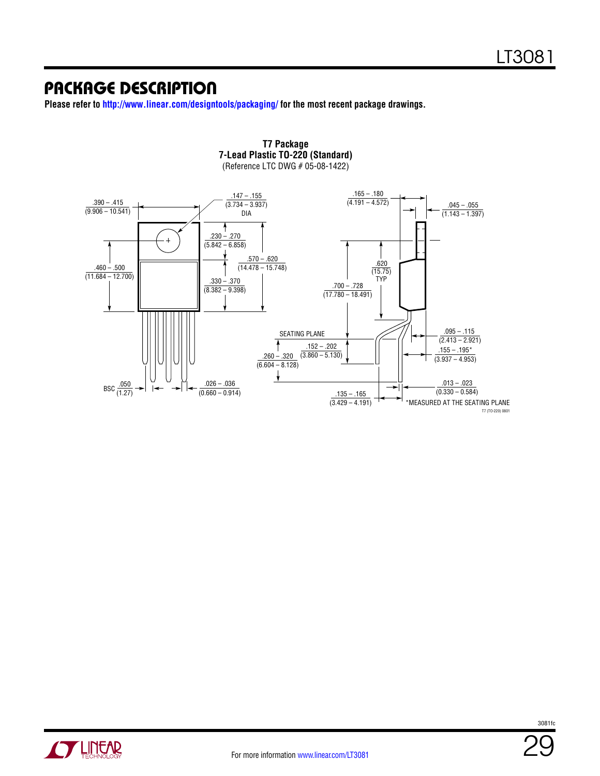**Please refer to http://www.linear.com/designtools/packaging/ for the most recent package drawings.**





**ATLINEAR** 

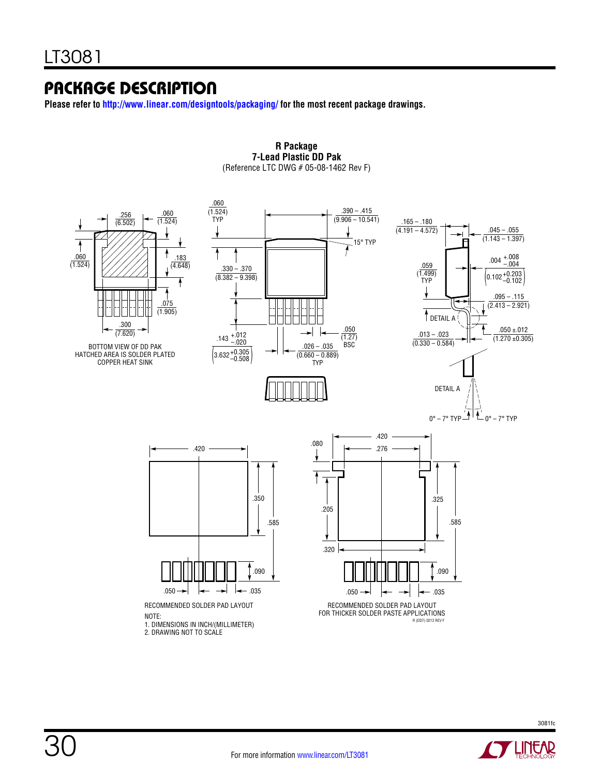**Please refer to http://www.linear.com/designtools/packaging/ for the most recent package drawings.**



**R Package 7-Lead Plastic DD Pak** (Reference LTC DWG # 05-08-1462 Rev F)

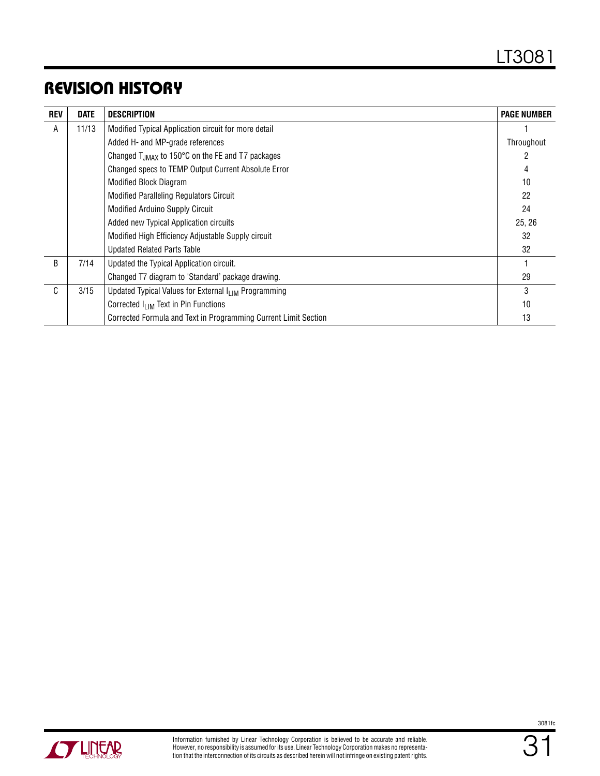### Revision History

| <b>REV</b> | <b>DATE</b> | <b>DESCRIPTION</b>                                               | <b>PAGE NUMBER</b> |
|------------|-------------|------------------------------------------------------------------|--------------------|
| A          | 11/13       | Modified Typical Application circuit for more detail             |                    |
|            |             | Added H- and MP-grade references                                 | Throughout         |
|            |             | Changed T <sub>JMAX</sub> to 150°C on the FE and T7 packages     |                    |
|            |             | Changed specs to TEMP Output Current Absolute Error              | 4                  |
|            |             | <b>Modified Block Diagram</b>                                    | 10                 |
|            |             | <b>Modified Paralleling Regulators Circuit</b>                   | 22                 |
|            |             | <b>Modified Arduino Supply Circuit</b>                           | 24                 |
|            |             | Added new Typical Application circuits                           | 25, 26             |
|            |             | Modified High Efficiency Adjustable Supply circuit               | 32                 |
|            |             | <b>Updated Related Parts Table</b>                               | 32                 |
| B          | 7/14        | Updated the Typical Application circuit.                         |                    |
|            |             | Changed T7 diagram to 'Standard' package drawing.                | 29                 |
| C          | 3/15        | Updated Typical Values for External I <sub>LIM</sub> Programming | 3                  |
|            |             | Corrected I <sub>I IM</sub> Text in Pin Functions                | 10                 |
|            |             | Corrected Formula and Text in Programming Current Limit Section  | 13                 |